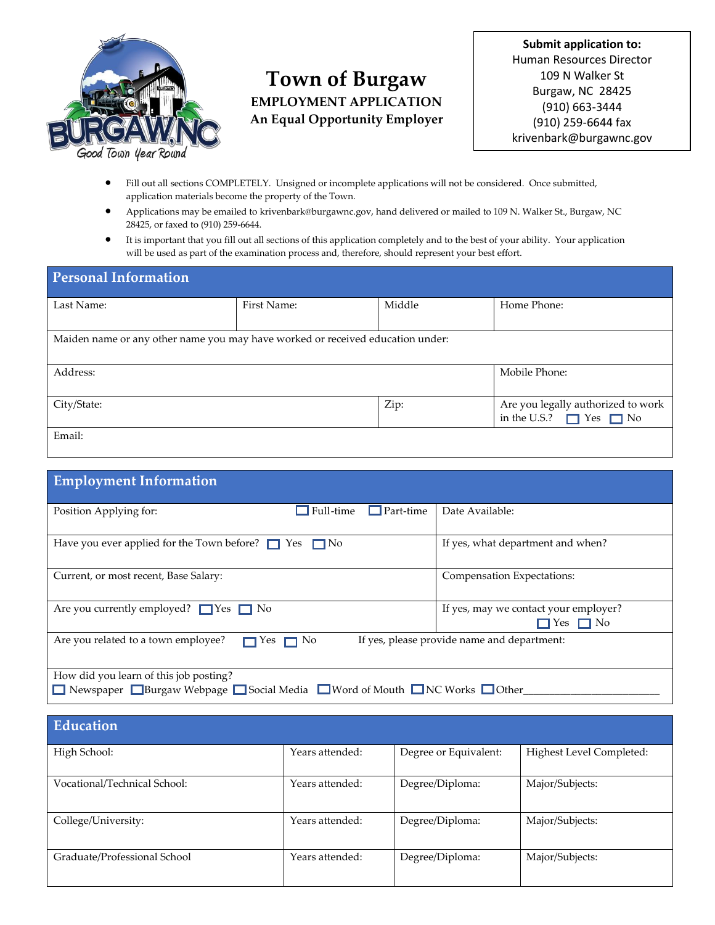

# **Town of Burgaw EMPLOYMENT APPLICATION An Equal Opportunity Employer**

**Submit application to:** Human Resources Director 109 N Walker St Burgaw, NC 28425 (910) 663-3444 (910) 259-6644 fax krivenbark@burgawnc.gov

- Fill out all sections COMPLETELY. Unsigned or incomplete applications will not be considered. Once submitted, application materials become the property of the Town.
- Applications may be emailed to krivenbark@burgawnc.gov, hand delivered or mailed to 109 N. Walker St., Burgaw, NC 28425, or faxed to (910) 259-6644.
- It is important that you fill out all sections of this application completely and to the best of your ability. Your application will be used as part of the examination process and, therefore, should represent your best effort.

| <b>Personal Information</b>                                                    |             |        |                                                                         |
|--------------------------------------------------------------------------------|-------------|--------|-------------------------------------------------------------------------|
| Last Name:                                                                     | First Name: | Middle | Home Phone:                                                             |
| Maiden name or any other name you may have worked or received education under: |             |        |                                                                         |
| Address:                                                                       |             |        | Mobile Phone:                                                           |
| City/State:                                                                    |             | Zip:   | Are you legally authorized to work<br>in the U.S.? $\Box$ Yes $\Box$ No |
| Email:                                                                         |             |        |                                                                         |

| <b>Employment Information</b>                                                                                |           |           |                                                               |
|--------------------------------------------------------------------------------------------------------------|-----------|-----------|---------------------------------------------------------------|
| Position Applying for:                                                                                       | Full-time | Part-time | Date Available:                                               |
| Have you ever applied for the Town before? $\Box$ Yes $\Box$ No                                              |           |           | If yes, what department and when?                             |
| Current, or most recent, Base Salary:                                                                        |           |           | Compensation Expectations:                                    |
| Are you currently employed? $\Box$ Yes $\Box$ No                                                             |           |           | If yes, may we contact your employer?<br>$\Box$ Yes $\Box$ No |
| If yes, please provide name and department:<br>Are you related to a town employee?<br>$\Box$ Yes $\Box$ No   |           |           |                                                               |
| How did you learn of this job posting?<br>Newspaper Burgaw Webpage Social Media News ON Mouth NC Works Ocher |           |           |                                                               |

| Education                    |                 |                       |                          |
|------------------------------|-----------------|-----------------------|--------------------------|
| High School:                 | Years attended: | Degree or Equivalent: | Highest Level Completed: |
| Vocational/Technical School: | Years attended: | Degree/Diploma:       | Major/Subjects:          |
| College/University:          | Years attended: | Degree/Diploma:       | Major/Subjects:          |
| Graduate/Professional School | Years attended: | Degree/Diploma:       | Major/Subjects:          |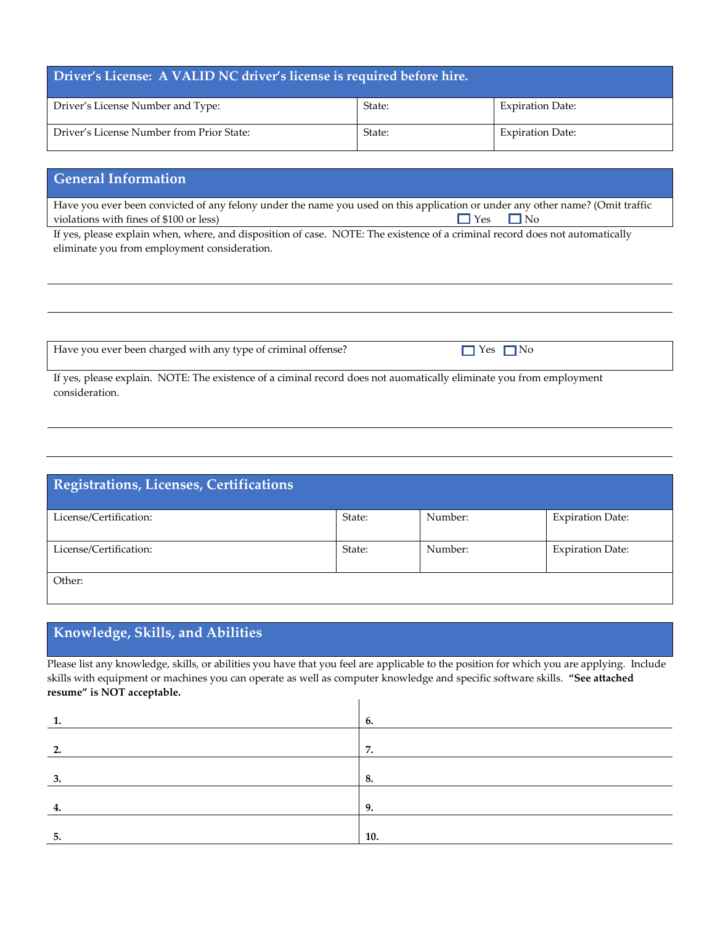| Driver's License: A VALID NC driver's license is required before hire. |        |                         |
|------------------------------------------------------------------------|--------|-------------------------|
| Driver's License Number and Type:                                      | State: | <b>Expiration Date:</b> |
| Driver's License Number from Prior State:                              | State: | <b>Expiration Date:</b> |

### **General Information**

Have you ever been convicted of any felony under the name you used on this application or under any other name? (Omit traffic violations with fines of \$100 or less)  $\Box$  Yes  $\Box$  No

If yes, please explain when, where, and disposition of case. NOTE: The existence of a criminal record does not automatically eliminate you from employment consideration.

| Have you ever been charged with any type of criminal offense?                                                     | $\exists$ Yes $\Box$ No |
|-------------------------------------------------------------------------------------------------------------------|-------------------------|
| If yes please explain NOTE: The existence of a ciminal record does not auomatically eliminate you from employment |                         |

If yes, please explain. NOTE: The existence of a ciminal record does not auomatically eliminate you from employment consideration.

| Registrations, Licenses, Certifications |        |         |                         |
|-----------------------------------------|--------|---------|-------------------------|
| License/Certification:                  | State: | Number: | <b>Expiration Date:</b> |
| License/Certification:                  | State: | Number: | <b>Expiration Date:</b> |
| Other:                                  |        |         |                         |

## **Knowledge, Skills, and Abilities**

Please list any knowledge, skills, or abilities you have that you feel are applicable to the position for which you are applying. Include skills with equipment or machines you can operate as well as computer knowledge and specific software skills. **"See attached resume" is NOT acceptable.**

 $\mathsf{l}$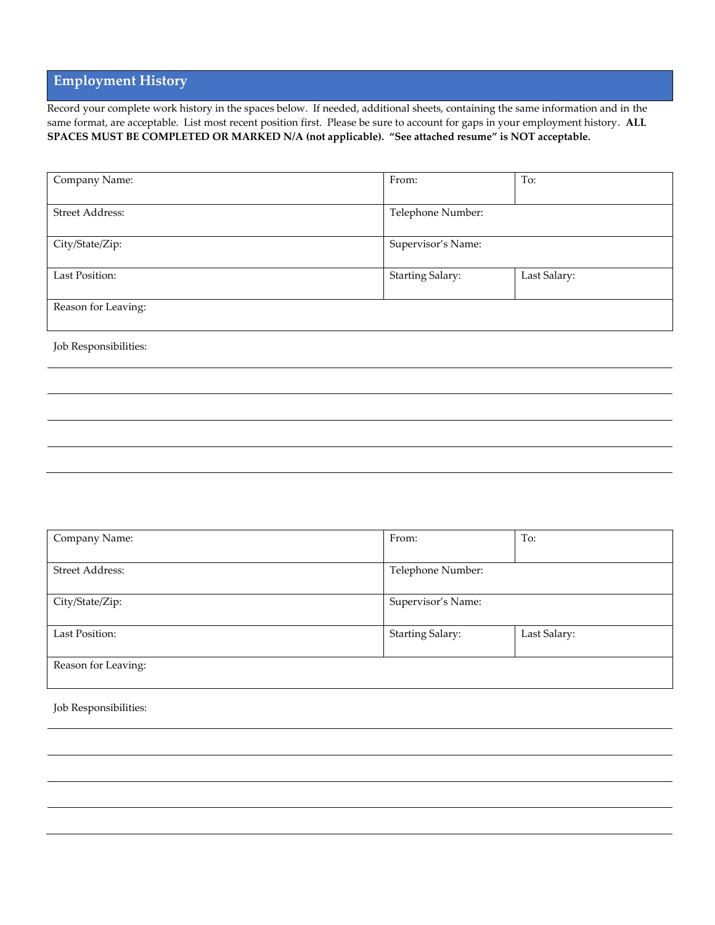### **Employment History**

Record your complete work history in the spaces below. If needed, additional sheets, containing the same information and in the same format, are acceptable. List most recent position first. Please be sure to account for gaps in your employment history. **ALL SPACES MUST BE COMPLETED OR MARKED N/A (not applicable). "See attached resume" is NOT acceptable.**

| Company Name:          | From:                   | To:          |
|------------------------|-------------------------|--------------|
|                        |                         |              |
| <b>Street Address:</b> | Telephone Number:       |              |
|                        |                         |              |
| City/State/Zip:        | Supervisor's Name:      |              |
|                        |                         |              |
| Last Position:         | <b>Starting Salary:</b> | Last Salary: |
|                        |                         |              |
| Reason for Leaving:    |                         |              |
|                        |                         |              |

Job Responsibilities:

| Company Name:          | From:                   | To:          |
|------------------------|-------------------------|--------------|
|                        |                         |              |
| <b>Street Address:</b> | Telephone Number:       |              |
|                        |                         |              |
| City/State/Zip:        | Supervisor's Name:      |              |
|                        |                         |              |
| Last Position:         | <b>Starting Salary:</b> | Last Salary: |
|                        |                         |              |
| Reason for Leaving:    |                         |              |
|                        |                         |              |

Job Responsibilities: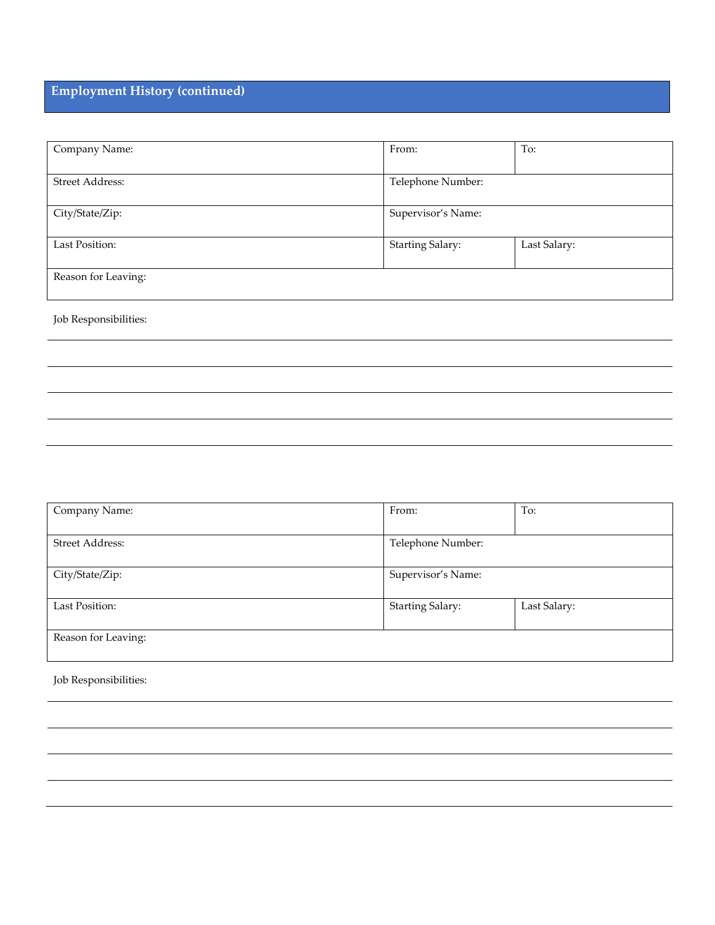# **Employment History (continued)**

| Company Name:       | From:                   | To:          |
|---------------------|-------------------------|--------------|
| Street Address:     | Telephone Number:       |              |
| City/State/Zip:     | Supervisor's Name:      |              |
| Last Position:      | <b>Starting Salary:</b> | Last Salary: |
| Reason for Leaving: |                         |              |

Job Responsibilities:

| Company Name:          | From:                   | To:          |
|------------------------|-------------------------|--------------|
|                        |                         |              |
| <b>Street Address:</b> | Telephone Number:       |              |
| City/State/Zip:        | Supervisor's Name:      |              |
| Last Position:         | <b>Starting Salary:</b> | Last Salary: |
| Reason for Leaving:    |                         |              |

Job Responsibilities: